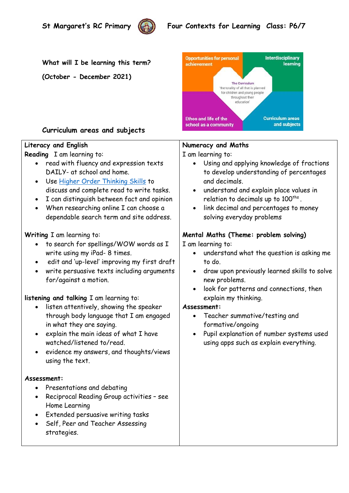

# **St Margaret's RC Primary** (()) Four Contexts for Learning Class: P6/7

**What will I be learning this term?** 

**(October - December 2021)**



## **Curriculum areas and subjects**

## **Literacy and English**

**Reading** I am learning to:

- read with fluency and expression texts DAILY- at school and home.
- Use [Higher Order Thinking Skills](https://www.readingrockets.org/article/higher-order-thinking) to discuss and complete read to write tasks.
- I can distinguish between fact and opinion
- When researching online I can choose a dependable search term and site address.

## **Writing** I am learning to:

- to search for spellings/WOW words as I write using my iPad- 8 times.
- edit and 'up-level' improving my first draft
- write persuasive texts including arguments for/against a motion.

## **listening and talking** I am learning to:

- listen attentively, showing the speaker through body language that I am engaged in what they are saying.
- explain the main ideas of what I have watched/listened to/read.
- evidence my answers, and thoughts/views using the text.

#### **Assessment:**

- Presentations and debating
- Reciprocal Reading Group activities see Home Learning
- Extended persuasive writing tasks
- Self, Peer and Teacher Assessing strategies.

## **Numeracy and Maths**

I am learning to:

- Using and applying knowledge of fractions to develop understanding of percentages and decimals.
- understand and explain place values in relation to decimals up to  $100^{\rm{ths}}$  .
- link decimal and percentages to money solving everyday problems

## **Mental Maths (Theme: problem solving)**

I am learning to:

- understand what the question is asking me to do.
- draw upon previously learned skills to solve new problems.
- look for patterns and connections, then explain my thinking.

#### **Assessment:**

- Teacher summative/testing and formative/ongoing
- Pupil explanation of number systems used using apps such as explain everything.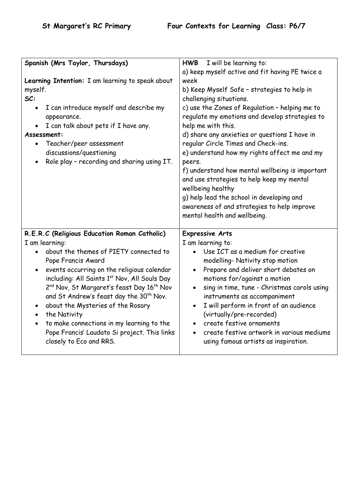| I will be learning to:<br><b>HWB</b>                                                                                                                                                                                                                                                                                                                                                                                                                                                                                      |
|---------------------------------------------------------------------------------------------------------------------------------------------------------------------------------------------------------------------------------------------------------------------------------------------------------------------------------------------------------------------------------------------------------------------------------------------------------------------------------------------------------------------------|
| a) keep myself active and fit having PE twice a                                                                                                                                                                                                                                                                                                                                                                                                                                                                           |
| week                                                                                                                                                                                                                                                                                                                                                                                                                                                                                                                      |
| b) Keep Myself Safe - strategies to help in                                                                                                                                                                                                                                                                                                                                                                                                                                                                               |
| challenging situations.                                                                                                                                                                                                                                                                                                                                                                                                                                                                                                   |
| c) use the Zones of Regulation - helping me to<br>regulate my emotions and develop strategies to<br>help me with this.<br>d) share any anxieties or questions I have in<br>regular Circle Times and Check-ins.<br>e) understand how my rights affect me and my<br>peers.<br>f) understand how mental wellbeing is important<br>and use strategies to help keep my mental<br>wellbeing healthy<br>g) help lead the school in developing and<br>awareness of and strategies to help improve<br>mental health and wellbeing. |
| <b>Expressive Arts</b><br>I am learning to:<br>Use ICT as a medium for creative<br>modelling- Nativity stop motion<br>Prepare and deliver short debates on<br>motions for/against a motion<br>sing in time, tune - Christmas carols using<br>instruments as accompaniment<br>I will perform in front of an audience<br>(virtually/pre-recorded)<br>create festive ornaments<br>create festive artwork in various mediums<br>using famous artists as inspiration.                                                          |
|                                                                                                                                                                                                                                                                                                                                                                                                                                                                                                                           |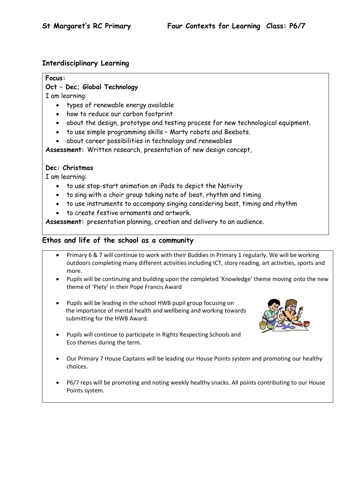### **Interdisciplinary Learning**

#### **Focus:**

## **Oct – Dec; Global Technology**

I am learning:

- types of renewable energy available
- how to reduce our carbon footprint
- about the design, prototype and testing process for new technological equipment.
- to use simple programming skills Marty robots and Beebots.
- about career possibilities in technology and renewables

**Assessment:** Written research, presentation of new design concept,

#### **Dec: Christmas**

I am learning:

- to use stop-start animation on iPads to depict the Nativity
- to sing with a choir group taking note of beat, rhythm and timing
- to use instruments to accompany singing considering beat, timing and rhythm
- to create festive ornaments and artwork.

**Assessment:** presentation planning, creation and delivery to an audience.

### **Ethos and life of the school as a community**

- Primary 6 & 7 will continue to work with their Buddies in Primary 1 regularly. We will be working outdoors completing many different activities including ICT, story reading, art activities, sports and more.
- Pupils will be continuing and building upon the completed 'Knowledge' theme moving onto the new theme of 'Piety' in their Pope Francis Award
- Pupils will be leading in the school HWB pupil group focusing on the importance of mental health and wellbeing and working towards submitting for the HWB Award.



- Pupils will continue to participate in Rights Respecting Schools and Eco themes during the term.
- Our Primary 7 House Captains will be leading our House Points system and promoting our healthy choices.
- P6/7 reps will be promoting and noting weekly healthy snacks. All points contributing to our House Points system.